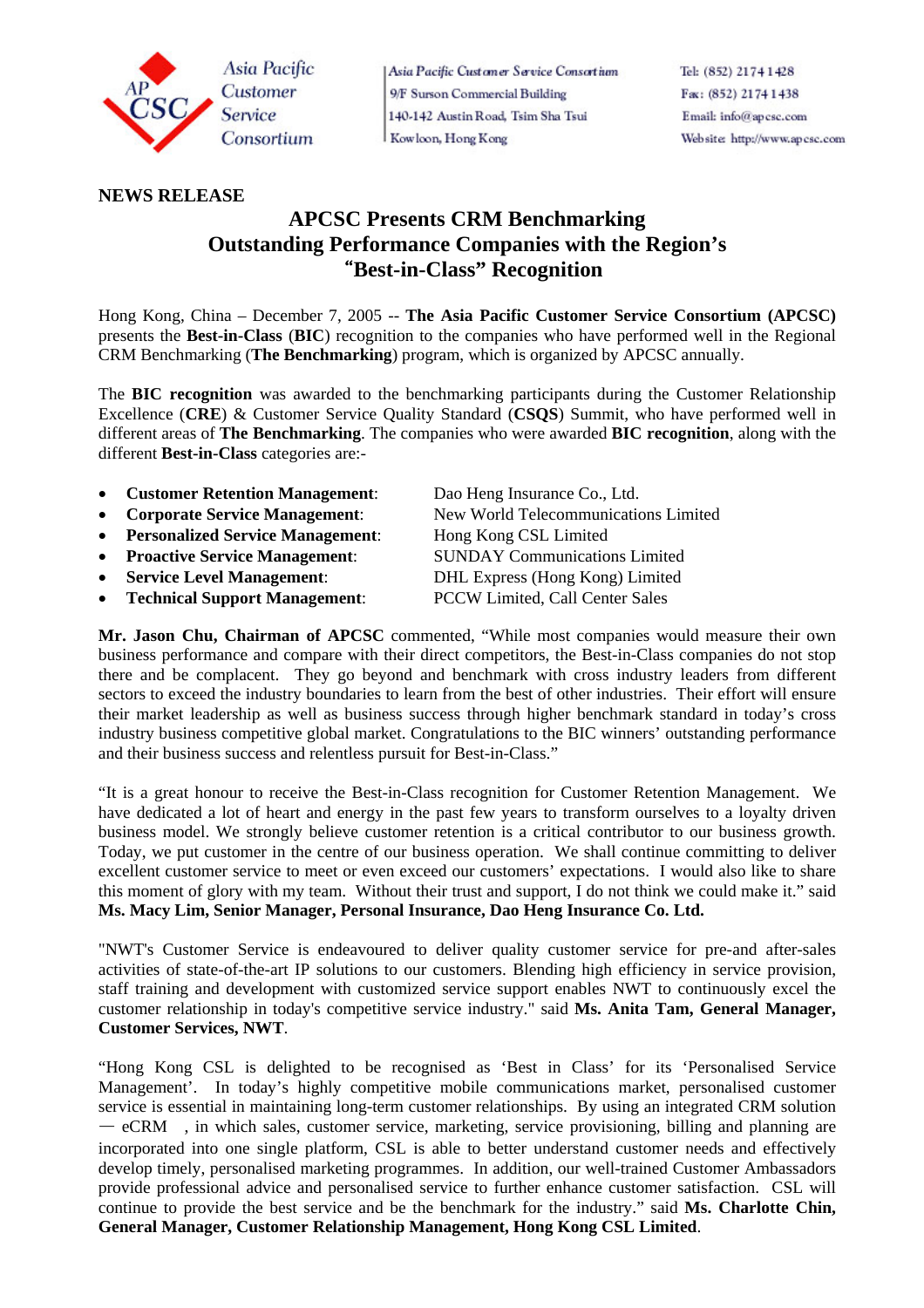

Asia Pacific Customer Service Consortium 9/F Surson Commercial Building 140-142 Austin Road, Tsim Sha Tsui Kowloon, Hong Kong

## **NEWS RELEASE**

# **APCSC Presents CRM Benchmarking Outstanding Performance Companies with the Region's**  "**Best-in-Class" Recognition**

Hong Kong, China – December 7, 2005 -- **The Asia Pacific Customer Service Consortium (APCSC)**  presents the **Best-in-Class** (**BIC**) recognition to the companies who have performed well in the Regional CRM Benchmarking (**The Benchmarking**) program, which is organized by APCSC annually.

The **BIC recognition** was awarded to the benchmarking participants during the Customer Relationship Excellence (**CRE**) & Customer Service Quality Standard (**CSQS**) Summit, who have performed well in different areas of **The Benchmarking**. The companies who were awarded **BIC recognition**, along with the different **Best-in-Class** categories are:-

- **Customer Retention Management**: Dao Heng Insurance Co., Ltd.
- 
- **Personalized Service Management:** Hong Kong CSL Limited
- **Proactive Service Management**:SUNDAY Communications Limited
- 
- **Technical Support Management**: PCCW Limited, Call Center Sales

• **Corporate Service Management**: New World Telecommunications Limited • **Service Level Management**: DHL Express (Hong Kong) Limited

**Mr. Jason Chu, Chairman of APCSC** commented, "While most companies would measure their own business performance and compare with their direct competitors, the Best-in-Class companies do not stop there and be complacent. They go beyond and benchmark with cross industry leaders from different sectors to exceed the industry boundaries to learn from the best of other industries. Their effort will ensure their market leadership as well as business success through higher benchmark standard in today's cross industry business competitive global market. Congratulations to the BIC winners' outstanding performance and their business success and relentless pursuit for Best-in-Class."

"It is a great honour to receive the Best-in-Class recognition for Customer Retention Management. We have dedicated a lot of heart and energy in the past few years to transform ourselves to a loyalty driven business model. We strongly believe customer retention is a critical contributor to our business growth. Today, we put customer in the centre of our business operation. We shall continue committing to deliver excellent customer service to meet or even exceed our customers' expectations. I would also like to share this moment of glory with my team. Without their trust and support, I do not think we could make it." said **Ms. Macy Lim, Senior Manager, Personal Insurance, Dao Heng Insurance Co. Ltd.**

"NWT's Customer Service is endeavoured to deliver quality customer service for pre-and after-sales activities of state-of-the-art IP solutions to our customers. Blending high efficiency in service provision, staff training and development with customized service support enables NWT to continuously excel the customer relationship in today's competitive service industry." said **Ms. Anita Tam, General Manager, Customer Services, NWT**.

"Hong Kong CSL is delighted to be recognised as 'Best in Class' for its 'Personalised Service Management'. In today's highly competitive mobile communications market, personalised customer service is essential in maintaining long-term customer relationships. By using an integrated CRM solution — eCRM , in which sales, customer service, marketing, service provisioning, billing and planning are incorporated into one single platform, CSL is able to better understand customer needs and effectively develop timely, personalised marketing programmes. In addition, our well-trained Customer Ambassadors provide professional advice and personalised service to further enhance customer satisfaction. CSL will continue to provide the best service and be the benchmark for the industry." said **Ms. Charlotte Chin, General Manager, Customer Relationship Management, Hong Kong CSL Limited**.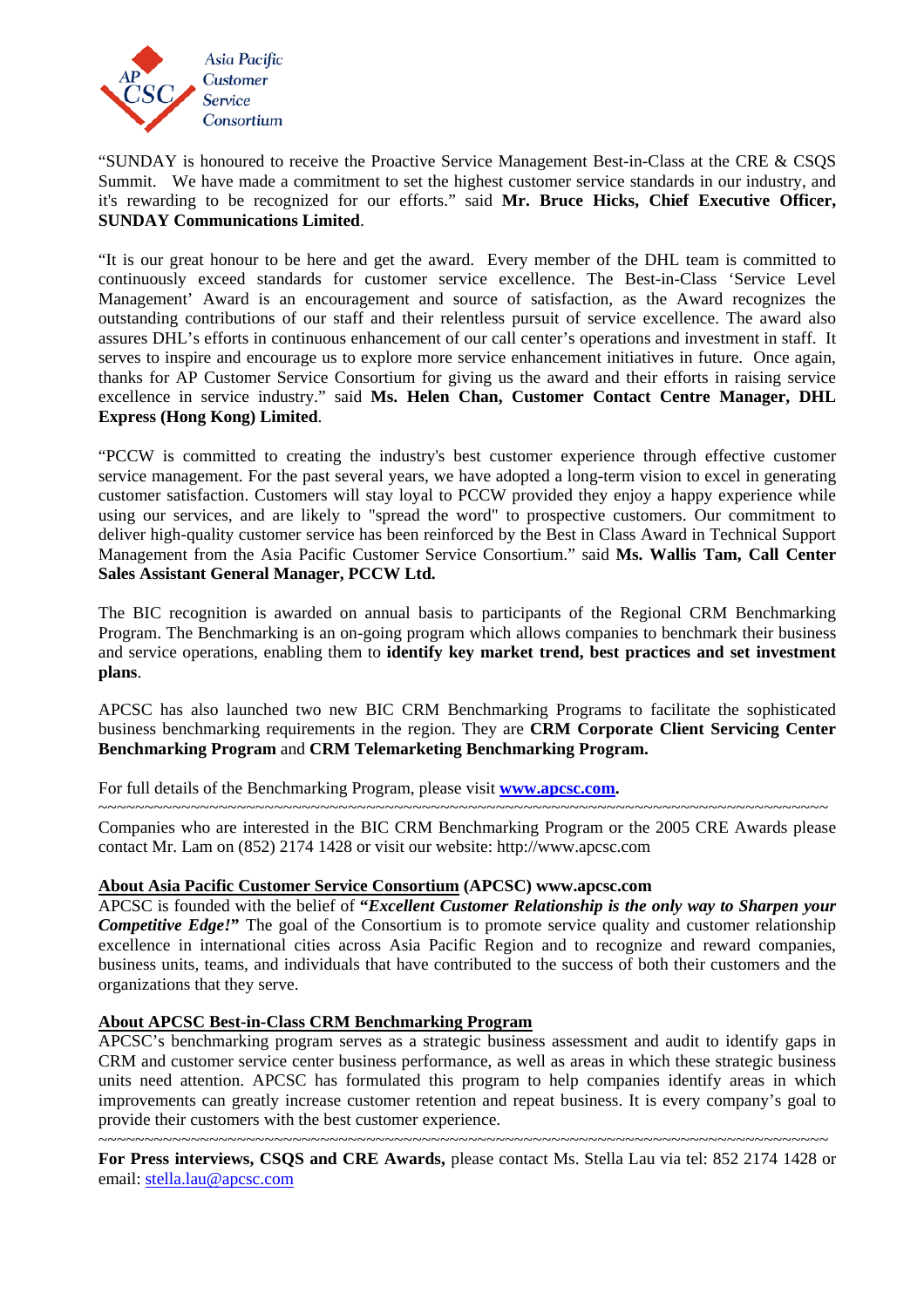

"SUNDAY is honoured to receive the Proactive Service Management Best-in-Class at the CRE & CSQS Summit. We have made a commitment to set the highest customer service standards in our industry, and it's rewarding to be recognized for our efforts." said **Mr. Bruce Hicks, Chief Executive Officer, SUNDAY Communications Limited**.

"It is our great honour to be here and get the award. Every member of the DHL team is committed to continuously exceed standards for customer service excellence. The Best-in-Class 'Service Level Management' Award is an encouragement and source of satisfaction, as the Award recognizes the outstanding contributions of our staff and their relentless pursuit of service excellence. The award also assures DHL's efforts in continuous enhancement of our call center's operations and investment in staff. It serves to inspire and encourage us to explore more service enhancement initiatives in future. Once again, thanks for AP Customer Service Consortium for giving us the award and their efforts in raising service excellence in service industry." said **Ms. Helen Chan, Customer Contact Centre Manager, DHL Express (Hong Kong) Limited**.

"PCCW is committed to creating the industry's best customer experience through effective customer service management. For the past several years, we have adopted a long-term vision to excel in generating customer satisfaction. Customers will stay loyal to PCCW provided they enjoy a happy experience while using our services, and are likely to "spread the word" to prospective customers. Our commitment to deliver high-quality customer service has been reinforced by the Best in Class Award in Technical Support Management from the Asia Pacific Customer Service Consortium." said **Ms. Wallis Tam, Call Center Sales Assistant General Manager, PCCW Ltd.**

The BIC recognition is awarded on annual basis to participants of the Regional CRM Benchmarking Program. The Benchmarking is an on-going program which allows companies to benchmark their business and service operations, enabling them to **identify key market trend, best practices and set investment plans**.

APCSC has also launched two new BIC CRM Benchmarking Programs to facilitate the sophisticated business benchmarking requirements in the region. They are **CRM Corporate Client Servicing Center Benchmarking Program** and **CRM Telemarketing Benchmarking Program.**

For full details of the Benchmarking Program, please visit **www.apcsc.com.** 

~~~~~~~~~~~~~~~~~~~~~~~~~~~~~~~~~~~~~~~~~~~~~~~~~~~~~~~~~~~~~~~~~~~~~~~~~~~~~~~ Companies who are interested in the BIC CRM Benchmarking Program or the 2005 CRE Awards please contact Mr. Lam on (852) 2174 1428 or visit our website: http://www.apcsc.com

## **About Asia Pacific Customer Service Consortium (APCSC) www.apcsc.com**

APCSC is founded with the belief of **"***Excellent Customer Relationship is the only way to Sharpen your Competitive Edge!*" The goal of the Consortium is to promote service quality and customer relationship excellence in international cities across Asia Pacific Region and to recognize and reward companies, business units, teams, and individuals that have contributed to the success of both their customers and the organizations that they serve.

## **About APCSC Best-in-Class CRM Benchmarking Program**

APCSC's benchmarking program serves as a strategic business assessment and audit to identify gaps in CRM and customer service center business performance, as well as areas in which these strategic business units need attention. APCSC has formulated this program to help companies identify areas in which improvements can greatly increase customer retention and repeat business. It is every company's goal to provide their customers with the best customer experience.

~~~~~~~~~~~~~~~~~~~~~~~~~~~~~~~~~~~~~~~~~~~~~~~~~~~~~~~~~~~~~~~~~~~~~~~~~~~~~~~ **For Press interviews, CSQS and CRE Awards,** please contact Ms. Stella Lau via tel: 852 2174 1428 or email: stella.lau@apcsc.com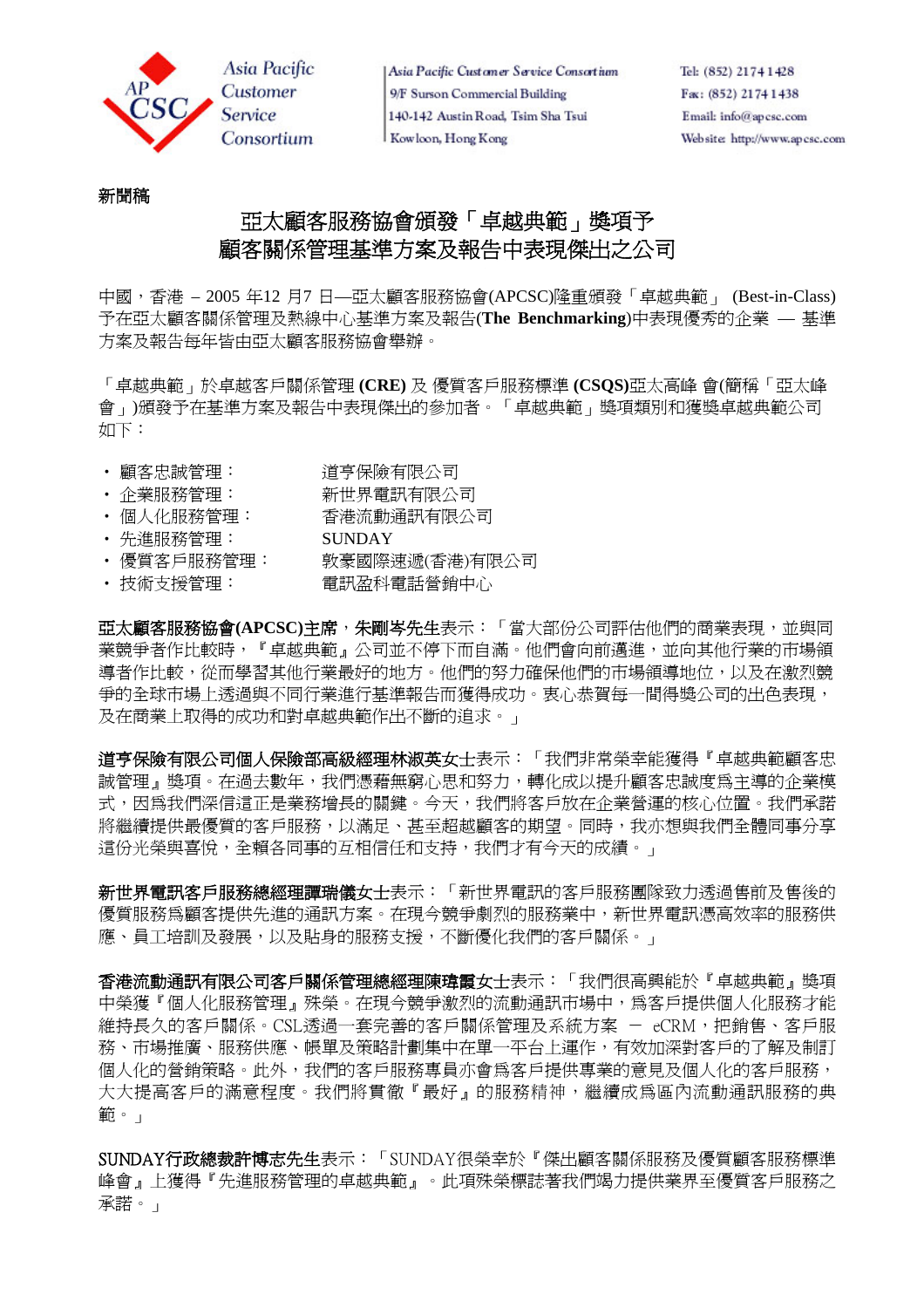

Asia Pacific Customer Service Consortium 9/F Surson Commercial Building 140-142 Austin Road, Tsim Sha Tsui Kowloon, Hong Kong

# 新聞稿

# 亞太顧客服務協會頒發「卓越典範」獎項予 顧客關係管理基準方案及報告中表現傑出之公司

中國,香港 – 2005 年12 月7 日—亞太顧客服務協會(APCSC)隆重頒發「卓越典範」 (Best-in-Class) 予在亞太顧客關係管理及熱線中心基準方案及報告(**The Benchmarking**)中表現優秀的企業 — 基準 方案及報告每年皆由亞太顧客服務協會舉辦。

「卓越典範」於卓越客戶關係管理 **(CRE)** 及 優質客戶服務標準 **(CSQS)**亞太高峰 會(簡稱「亞太峰 會」)頒發予在基準方案及報告中表現傑出的參加者。「卓越典範」獎項類別和獲獎卓越典範公司 如下:

- 顧客忠誠管理: 道亨保險有限公司
- ‧ 企業服務管理: 新世界電訊有限公司
- ‧ 個人化服務管理: 香港流動通訊有限公司
- ‧ 先進服務管理: SUNDAY
- 優質客戶服務管理: 數豪國際速遞(香港)有限公司
- 技術支援管理: 雷訊盈科電話營銷中心

亞太顧客服務協會**(APCSC)**主席,朱剛岑先生表示:「當大部份公司評估他們的商業表現,並與同 業競爭者作比較時,『卓越典範』公司並不停下而自滿。他們會向前邁進,並向其他行業的市場領 導者作比較,從而學習其他行業最好的地方。他們的努力確保他們的市場領導地位,以及在激烈競 争的全球市場上透過與不同行業進行基準報告而獲得成功。衷心恭賀每一間得獎公司的出色表現, 及在商業上取得的成功和對卓越典範作出不斷的追求。」

道亨保險有限公司個人保險部高級經理林淑英女士表示:「我們非常榮幸能獲得『卓越典範顧客忠 誠管理』獎項。在過去數年,我們憑藉無窮心思和努力,轉化成以提升顧客忠誠度為主導的企業模 式,因為我們深信這正是業務增長的關鍵。今天,我們將客戶放在企業營運的核心位置。我們承諾 將繼續提供最優質的客戶服務,以滿足、甚至超越顧客的期望。同時,我亦想與我們全體同事分享 這份光榮與喜悅,全賴各同事的互相信任和支持,我們才有今天的成績。」

新世界電訊客戶服務總經理譚瑞儀女士表示:「新世界電訊的客戶服務團隊致力透過售前及售後的 優質服務為顧客提供先進的通訊方案。在現今競爭劇烈的服務業中,新世界電訊憑高效率的服務供 應、員工培訓及發展,以及貼身的服務支援,不斷優化我們的客戶關係。」

香港流動涌訊有限公司客戶關係管理總經理陳瑋霞女士表示:「我們很高興能於『卓越典範』獎項 中榮獲『個人化服務管理』殊榮。在現今競爭激烈的流動通訊市場中,爲客戶提供個人化服務才能 維持長久的客戶關係。CSL透過一套完善的客戶關係管理及系統方案 - eCRM,把銷售、客戶服 務、市場推廣、服務供應、帳單及策略計劃集中在單一平台上運作,有效加深對客戶的了解及制訂 個人化的營銷策略。此外,我們的客戶服務專員亦會為客戶提供專業的意見及個人化的客戶服務, 大大提高客戶的滿意程度。我們將貫徹『最好』的服務精神,繼續成為區內流動通訊服務的典 範。」

SUNDAY行政總裁許博志先生表示:「SUNDAY很榮幸於『傑出顧客關係服務及優質顧客服務標準 峰會』上獲得『先進服務管理的卓越典範』。此項殊榮標誌著我們竭力提供業界至優質客戶服務之 承諾。」